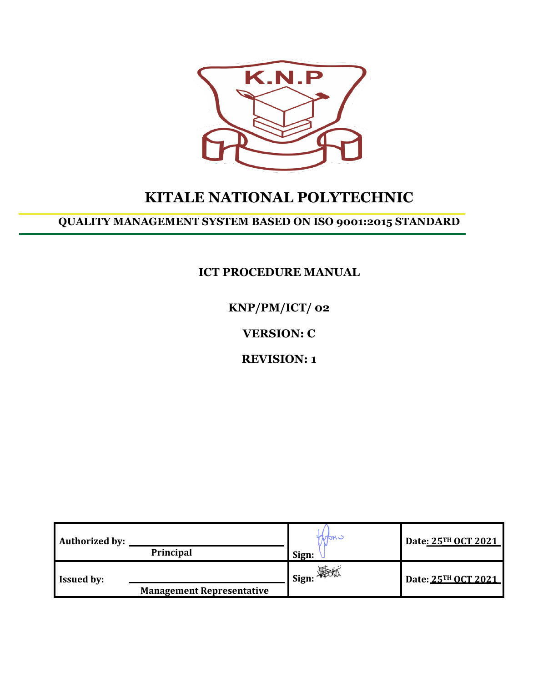

# **KITALE NATIONAL POLYTECHNIC**

# **QUALITY MANAGEMENT SYSTEM BASED ON ISO 9001:2015 STANDARD**

**ICT PROCEDURE MANUAL**

**KNP/PM/ICT/ 02**

**VERSION: C**

**REVISION: 1**

| <b>Authorized by:</b> | <b>Principal</b>                 | indri<br>Sign:                                      | Date: 25TH OCT 2021 |
|-----------------------|----------------------------------|-----------------------------------------------------|---------------------|
| <b>Issued by:</b>     | <b>Management Representative</b> | $\blacksquare$ Sign: $\bigoplus_{\mathbb{Z}}$ Sign: | Date: 25TH OCT 2021 |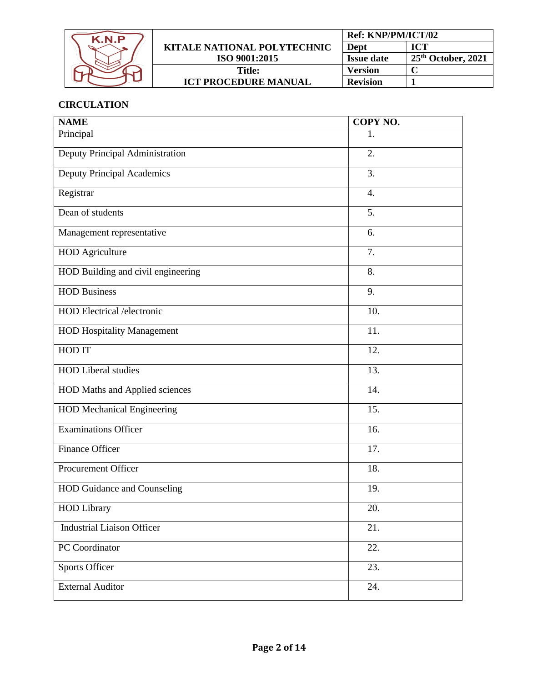| K.N.P |                                    | Ref: KNP/PM/ICT/02 |                       |
|-------|------------------------------------|--------------------|-----------------------|
|       | <b>KITALE NATIONAL POLYTECHNIC</b> | Dept               | ICT                   |
|       | ISO 9001:2015                      | <b>Issue date</b>  | $-25th$ October, 2021 |
|       | <b>Title:</b>                      | <b>Version</b>     |                       |
|       | <b>ICT PROCEDURE MANUAL</b>        | <b>Revision</b>    |                       |

# **CIRCULATION**

| <b>NAME</b>                        | COPY NO. |
|------------------------------------|----------|
| Principal                          | 1.       |
| Deputy Principal Administration    | 2.       |
| <b>Deputy Principal Academics</b>  | 3.       |
| Registrar                          | 4.       |
| Dean of students                   | 5.       |
| Management representative          | 6.       |
| <b>HOD</b> Agriculture             | 7.       |
| HOD Building and civil engineering | 8.       |
| <b>HOD Business</b>                | 9.       |
| <b>HOD</b> Electrical /electronic  | 10.      |
| <b>HOD Hospitality Management</b>  | 11.      |
| HOD IT                             | 12.      |
| <b>HOD Liberal studies</b>         | 13.      |
| HOD Maths and Applied sciences     | 14.      |
| <b>HOD Mechanical Engineering</b>  | 15.      |
| Examinations Officer               | 16.      |
| Finance Officer                    | 17.      |
| <b>Procurement Officer</b>         | 18.      |
| HOD Guidance and Counseling        | 19.      |
| <b>HOD Library</b>                 | 20.      |
| <b>Industrial Liaison Officer</b>  | 21.      |
| PC Coordinator                     | 22.      |
| <b>Sports Officer</b>              | 23.      |
| <b>External Auditor</b>            | 24.      |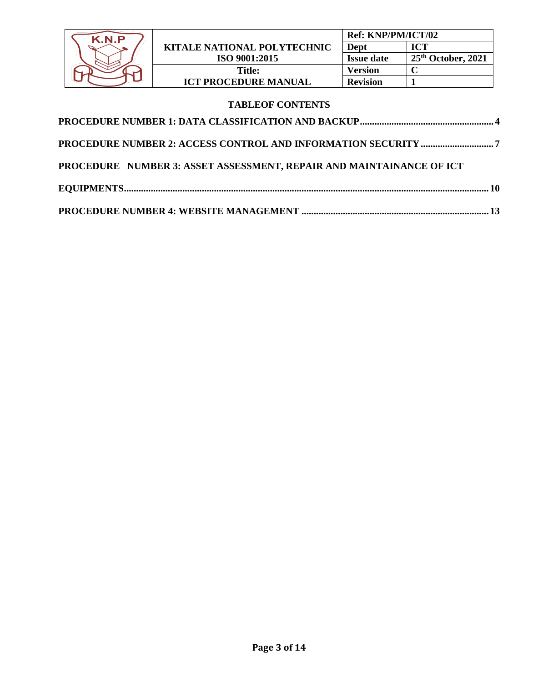| K N P |                                    | <b>Ref: KNP/PM/ICT/02</b> |                       |
|-------|------------------------------------|---------------------------|-----------------------|
|       | <b>KITALE NATIONAL POLYTECHNIC</b> | Dept                      | ICT                   |
|       | ISO 9001:2015                      | <b>Issue date</b>         | $-25th$ October, 2021 |
|       | Title:                             | Version                   |                       |
|       | <b>ICT PROCEDURE MANUAL</b>        | <b>Revision</b>           |                       |

# **TABLEOF CONTENTS**

| PROCEDURE NUMBER 3: ASSET ASSESSMENT, REPAIR AND MAINTAINANCE OF ICT |  |
|----------------------------------------------------------------------|--|
|                                                                      |  |
|                                                                      |  |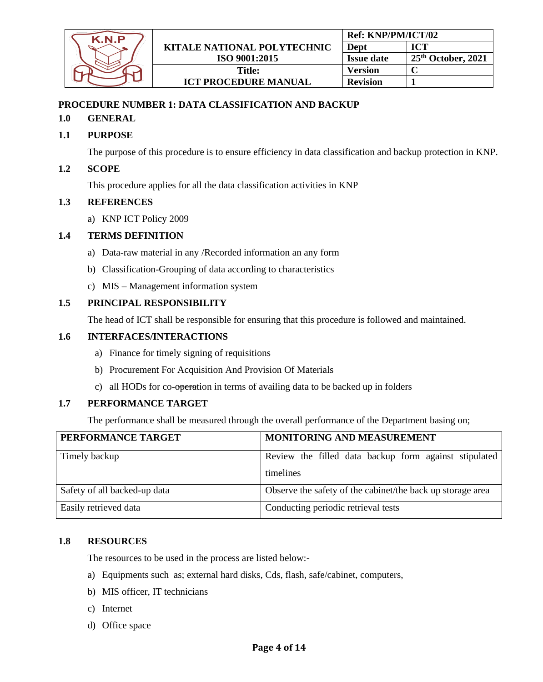

# <span id="page-3-0"></span>**PROCEDURE NUMBER 1: DATA CLASSIFICATION AND BACKUP**

## **1.0 GENERAL**

# **1.1 PURPOSE**

The purpose of this procedure is to ensure efficiency in data classification and backup protection in KNP.

## **1.2 SCOPE**

This procedure applies for all the data classification activities in KNP

#### **1.3 REFERENCES**

a) KNP ICT Policy 2009

#### **1.4 TERMS DEFINITION**

- a) Data-raw material in any /Recorded information an any form
- b) Classification-Grouping of data according to characteristics
- c) MIS Management information system

#### **1.5 PRINCIPAL RESPONSIBILITY**

The head of ICT shall be responsible for ensuring that this procedure is followed and maintained.

#### **1.6 INTERFACES/INTERACTIONS**

- a) Finance for timely signing of requisitions
- b) Procurement For Acquisition And Provision Of Materials
- c) all HODs for co-operation in terms of availing data to be backed up in folders

#### **1.7 PERFORMANCE TARGET**

The performance shall be measured through the overall performance of the Department basing on;

| PERFORMANCE TARGET           | MONITORING AND MEASUREMENT                                         |
|------------------------------|--------------------------------------------------------------------|
| Timely backup                | Review the filled data backup form against stipulated<br>timelines |
| Safety of all backed-up data | Observe the safety of the cabinet/the back up storage area         |
| Easily retrieved data        | Conducting periodic retrieval tests                                |

#### **1.8 RESOURCES**

The resources to be used in the process are listed below:-

- a) Equipments such as; external hard disks, Cds, flash, safe/cabinet, computers,
- b) MIS officer, IT technicians
- c) Internet
- d) Office space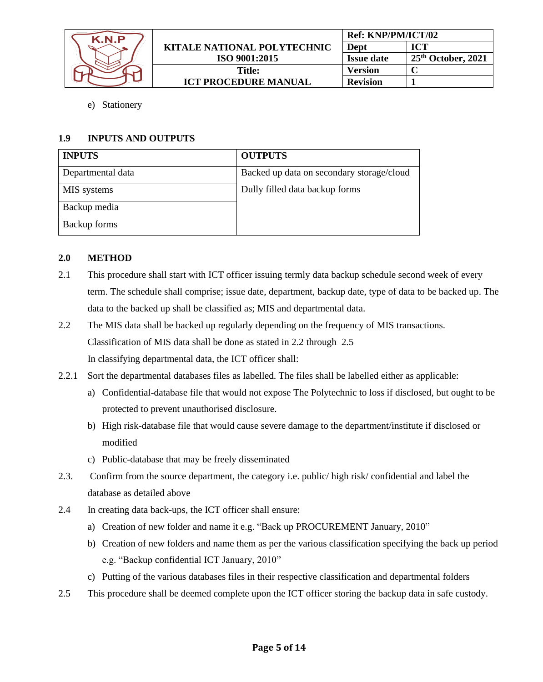| K N P |                             | Ref: KNP/PM/ICT/02 |                    |
|-------|-----------------------------|--------------------|--------------------|
|       | KITALE NATIONAL POLYTECHNIC | Dept               | <b>ICT</b>         |
|       | ISO 9001:2015               | <b>Issue date</b>  | 25th October, 2021 |
|       | Title:                      | Version            |                    |
|       | <b>ICT PROCEDURE MANUAL</b> | <b>Revision</b>    |                    |

e) Stationery

# **1.9 INPUTS AND OUTPUTS**

| <b>INPUTS</b>     | <b>OUTPUTS</b>                            |
|-------------------|-------------------------------------------|
| Departmental data | Backed up data on secondary storage/cloud |
| MIS systems       | Dully filled data backup forms            |
| Backup media      |                                           |
| Backup forms      |                                           |

# **2.0 METHOD**

- 2.1 This procedure shall start with ICT officer issuing termly data backup schedule second week of every term. The schedule shall comprise; issue date, department, backup date, type of data to be backed up. The data to the backed up shall be classified as; MIS and departmental data.
- 2.2 The MIS data shall be backed up regularly depending on the frequency of MIS transactions. Classification of MIS data shall be done as stated in 2.2 through 2.5 In classifying departmental data, the ICT officer shall:
- 2.2.1 Sort the departmental databases files as labelled. The files shall be labelled either as applicable:
	- a) Confidential-database file that would not expose The Polytechnic to loss if disclosed, but ought to be protected to prevent unauthorised disclosure.
	- b) High risk-database file that would cause severe damage to the department/institute if disclosed or modified
	- c) Public-database that may be freely disseminated
- 2.3. Confirm from the source department, the category i.e. public/ high risk/ confidential and label the database as detailed above
- 2.4 In creating data back-ups, the ICT officer shall ensure:
	- a) Creation of new folder and name it e.g. "Back up PROCUREMENT January, 2010"
	- b) Creation of new folders and name them as per the various classification specifying the back up period e.g. "Backup confidential ICT January, 2010"
	- c) Putting of the various databases files in their respective classification and departmental folders
- 2.5 This procedure shall be deemed complete upon the ICT officer storing the backup data in safe custody.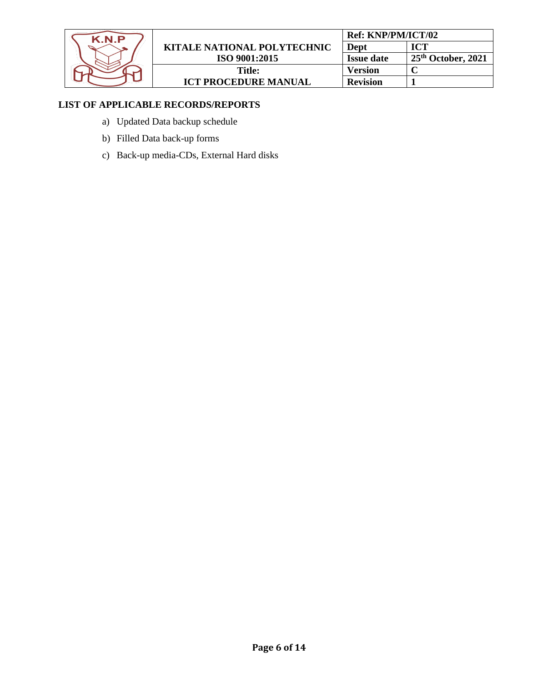

# **LIST OF APPLICABLE RECORDS/REPORTS**

- a) Updated Data backup schedule
- b) Filled Data back-up forms
- c) Back-up media-CDs, External Hard disks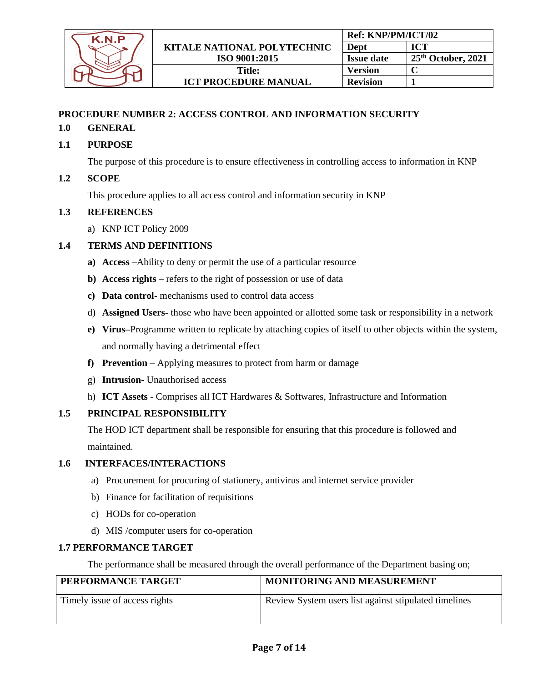

# <span id="page-6-0"></span>**PROCEDURE NUMBER 2: ACCESS CONTROL AND INFORMATION SECURITY**

## **1.0 GENERAL**

**1.1 PURPOSE**

The purpose of this procedure is to ensure effectiveness in controlling access to information in KNP

## **1.2 SCOPE**

This procedure applies to all access control and information security in KNP

#### **1.3 REFERENCES**

a) KNP ICT Policy 2009

#### **1.4 TERMS AND DEFINITIONS**

- **a) Access –**Ability to deny or permit the use of a particular resource
- **b) Access rights –** refers to the right of possession or use of data
- **c) Data control-** mechanisms used to control data access
- d) **Assigned Users-** those who have been appointed or allotted some task or responsibility in a network
- **e) Virus–**Programme written to replicate by attaching copies of itself to other objects within the system, and normally having a detrimental effect
- **f) Prevention –** Applying measures to protect from harm or damage
- g) **Intrusion-** Unauthorised access
- h) **ICT Assets**  Comprises all ICT Hardwares & Softwares, Infrastructure and Information

#### **1.5 PRINCIPAL RESPONSIBILITY**

The HOD ICT department shall be responsible for ensuring that this procedure is followed and maintained.

#### **1.6 INTERFACES/INTERACTIONS**

- a) Procurement for procuring of stationery, antivirus and internet service provider
- b) Finance for facilitation of requisitions
- c) HODs for co-operation
- d) MIS /computer users for co-operation

#### **1.7 PERFORMANCE TARGET**

The performance shall be measured through the overall performance of the Department basing on;

| PERFORMANCE TARGET            | <b>MONITORING AND MEASUREMENT</b>                     |
|-------------------------------|-------------------------------------------------------|
| Timely issue of access rights | Review System users list against stipulated timelines |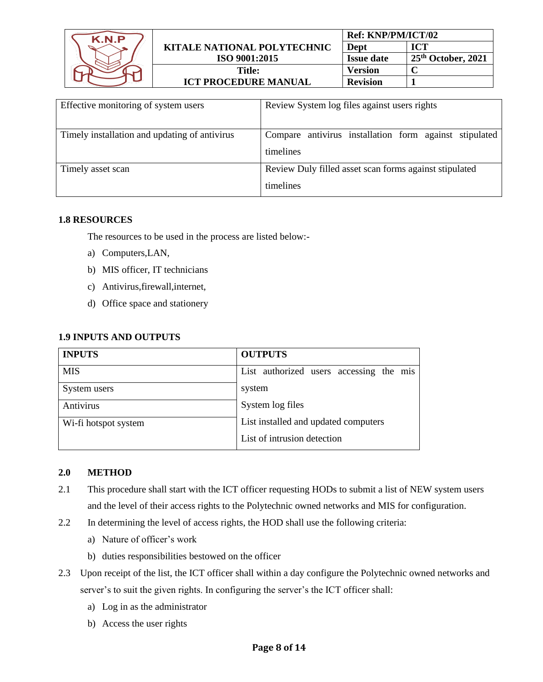| K N P |                             | <b>Ref: KNP/PM/ICT/02</b> |                      |
|-------|-----------------------------|---------------------------|----------------------|
|       | KITALE NATIONAL POLYTECHNIC | Dept                      | ICT                  |
|       | ISO 9001:2015               | <b>Issue date</b>         | $25th$ October, 2021 |
|       | Title:                      | Version                   |                      |
|       | <b>ICT PROCEDURE MANUAL</b> | <b>Revision</b>           |                      |

| Effective monitoring of system users          | Review System log files against users rights                        |
|-----------------------------------------------|---------------------------------------------------------------------|
| Timely installation and updating of antivirus | Compare antivirus installation form against stipulated<br>timelines |
| Timely asset scan                             | Review Duly filled asset scan forms against stipulated<br>timelines |

## **1.8 RESOURCES**

The resources to be used in the process are listed below:-

- a) Computers,LAN,
- b) MIS officer, IT technicians
- c) Antivirus,firewall,internet,
- d) Office space and stationery

# **1.9 INPUTS AND OUTPUTS**

| <b>INPUTS</b>        | <b>OUTPUTS</b>                          |  |  |
|----------------------|-----------------------------------------|--|--|
| <b>MIS</b>           | List authorized users accessing the mis |  |  |
| System users         | system                                  |  |  |
| Antivirus            | System log files                        |  |  |
| Wi-fi hotspot system | List installed and updated computers    |  |  |
|                      | List of intrusion detection             |  |  |

# **2.0 METHOD**

- 2.1 This procedure shall start with the ICT officer requesting HODs to submit a list of NEW system users and the level of their access rights to the Polytechnic owned networks and MIS for configuration.
- 2.2 In determining the level of access rights, the HOD shall use the following criteria:
	- a) Nature of officer's work
	- b) duties responsibilities bestowed on the officer
- 2.3 Upon receipt of the list, the ICT officer shall within a day configure the Polytechnic owned networks and server's to suit the given rights. In configuring the server's the ICT officer shall:
	- a) Log in as the administrator
	- b) Access the user rights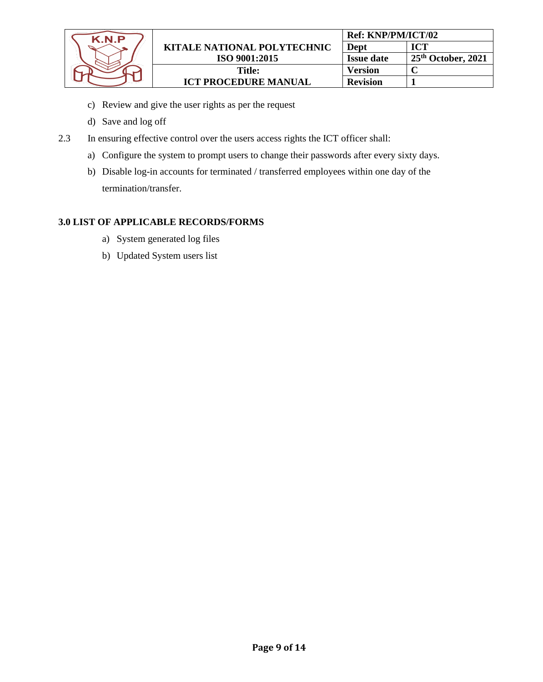

- c) Review and give the user rights as per the request
- d) Save and log off
- 2.3 In ensuring effective control over the users access rights the ICT officer shall:
	- a) Configure the system to prompt users to change their passwords after every sixty days.
	- b) Disable log-in accounts for terminated / transferred employees within one day of the termination/transfer.

# **3.0 LIST OF APPLICABLE RECORDS/FORMS**

- a) System generated log files
- b) Updated System users list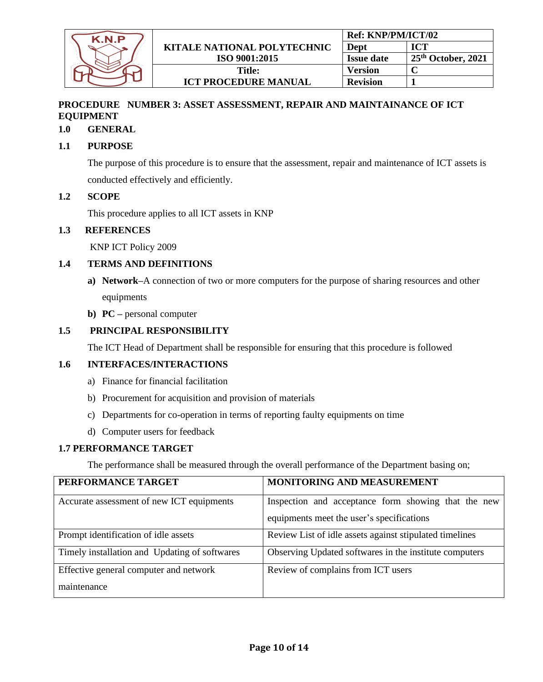

# <span id="page-9-0"></span>**PROCEDURE NUMBER 3: ASSET ASSESSMENT, REPAIR AND MAINTAINANCE OF ICT EQUIPMENT**

# **1.0 GENERAL**

# **1.1 PURPOSE**

The purpose of this procedure is to ensure that the assessment, repair and maintenance of ICT assets is conducted effectively and efficiently.

# **1.2 SCOPE**

This procedure applies to all ICT assets in KNP

# **1.3 REFERENCES**

KNP ICT Policy 2009

## **1.4 TERMS AND DEFINITIONS**

- **a) Network–**A connection of two or more computers for the purpose of sharing resources and other equipments
- **b) PC –** personal computer

# **1.5 PRINCIPAL RESPONSIBILITY**

The ICT Head of Department shall be responsible for ensuring that this procedure is followed

# **1.6 INTERFACES/INTERACTIONS**

- a) Finance for financial facilitation
- b) Procurement for acquisition and provision of materials
- c) Departments for co-operation in terms of reporting faulty equipments on time
- d) Computer users for feedback

#### **1.7 PERFORMANCE TARGET**

The performance shall be measured through the overall performance of the Department basing on;

| PERFORMANCE TARGET                            | MONITORING AND MEASUREMENT                              |
|-----------------------------------------------|---------------------------------------------------------|
| Accurate assessment of new ICT equipments     | Inspection and acceptance form showing that the new     |
|                                               | equipments meet the user's specifications               |
| Prompt identification of idle assets          | Review List of idle assets against stipulated timelines |
| Timely installation and Updating of softwares | Observing Updated softwares in the institute computers  |
| Effective general computer and network        | Review of complains from ICT users                      |
| maintenance                                   |                                                         |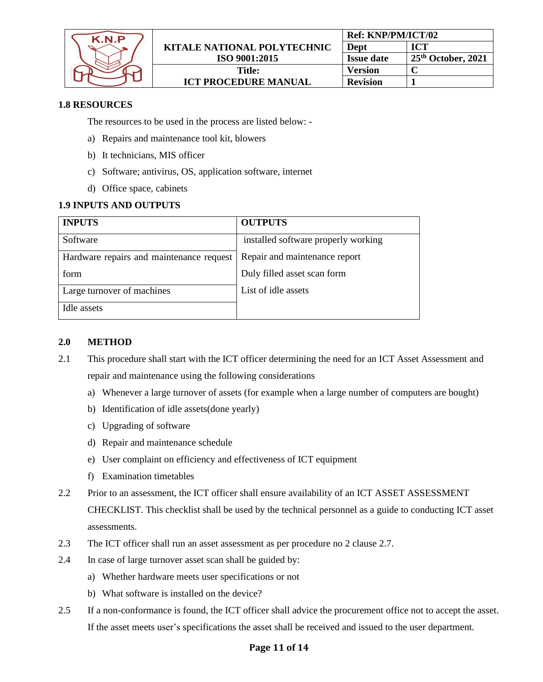

## **1.8 RESOURCES**

The resources to be used in the process are listed below: -

- a) Repairs and maintenance tool kit, blowers
- b) It technicians, MIS officer
- c) Software; antivirus, OS, application software, internet
- d) Office space, cabinets

# **1.9 INPUTS AND OUTPUTS**

| <b>INPUTS</b>                            | <b>OUTPUTS</b>                      |
|------------------------------------------|-------------------------------------|
| Software                                 | installed software properly working |
| Hardware repairs and maintenance request | Repair and maintenance report       |
| form                                     | Duly filled asset scan form         |
| Large turnover of machines               | List of idle assets                 |
| Idle assets                              |                                     |

#### **2.0 METHOD**

- 2.1 This procedure shall start with the ICT officer determining the need for an ICT Asset Assessment and repair and maintenance using the following considerations
	- a) Whenever a large turnover of assets (for example when a large number of computers are bought)
	- b) Identification of idle assets(done yearly)
	- c) Upgrading of software
	- d) Repair and maintenance schedule
	- e) User complaint on efficiency and effectiveness of ICT equipment
	- f) Examination timetables
- 2.2 Prior to an assessment, the ICT officer shall ensure availability of an ICT ASSET ASSESSMENT CHECKLIST. This checklist shall be used by the technical personnel as a guide to conducting ICT asset assessments.
- 2.3 The ICT officer shall run an asset assessment as per procedure no 2 clause 2.7.
- 2.4 In case of large turnover asset scan shall be guided by:
	- a) Whether hardware meets user specifications or not
	- b) What software is installed on the device?
- 2.5 If a non-conformance is found, the ICT officer shall advice the procurement office not to accept the asset. If the asset meets user's specifications the asset shall be received and issued to the user department.

#### **Page 11 of 14**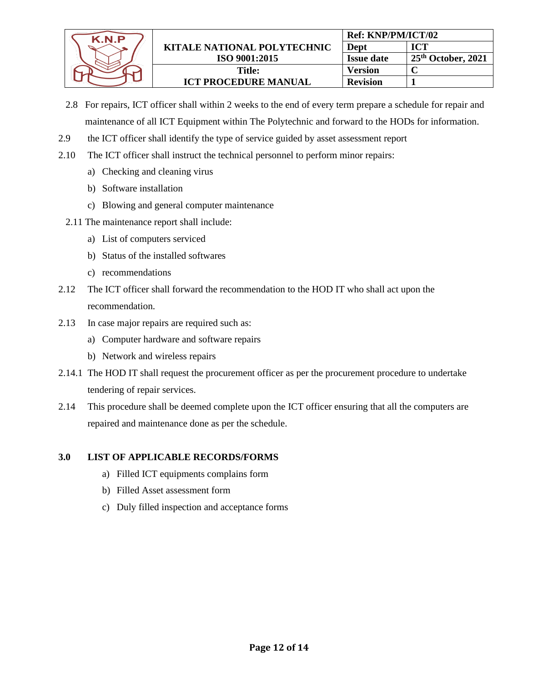

- 2.8 For repairs, ICT officer shall within 2 weeks to the end of every term prepare a schedule for repair and maintenance of all ICT Equipment within The Polytechnic and forward to the HODs for information.
- 2.9 the ICT officer shall identify the type of service guided by asset assessment report
- 2.10 The ICT officer shall instruct the technical personnel to perform minor repairs:
	- a) Checking and cleaning virus
	- b) Software installation
	- c) Blowing and general computer maintenance
	- 2.11 The maintenance report shall include:
		- a) List of computers serviced
		- b) Status of the installed softwares
		- c) recommendations
- 2.12 The ICT officer shall forward the recommendation to the HOD IT who shall act upon the recommendation.
- 2.13 In case major repairs are required such as:
	- a) Computer hardware and software repairs
	- b) Network and wireless repairs
- 2.14.1 The HOD IT shall request the procurement officer as per the procurement procedure to undertake tendering of repair services.
- 2.14 This procedure shall be deemed complete upon the ICT officer ensuring that all the computers are repaired and maintenance done as per the schedule.

# **3.0 LIST OF APPLICABLE RECORDS/FORMS**

- a) Filled ICT equipments complains form
- b) Filled Asset assessment form
- c) Duly filled inspection and acceptance forms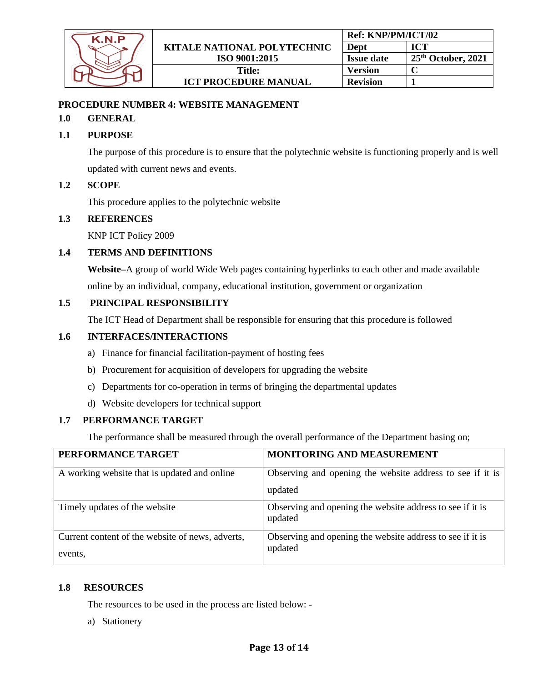

# <span id="page-12-0"></span>**PROCEDURE NUMBER 4: WEBSITE MANAGEMENT**

## **1.0 GENERAL**

# **1.1 PURPOSE**

The purpose of this procedure is to ensure that the polytechnic website is functioning properly and is well updated with current news and events.

## **1.2 SCOPE**

This procedure applies to the polytechnic website

# **1.3 REFERENCES**

KNP ICT Policy 2009

## **1.4 TERMS AND DEFINITIONS**

**Website–**A group of world Wide Web pages containing hyperlinks to each other and made available online by an individual, company, educational institution, government or organization

## **1.5 PRINCIPAL RESPONSIBILITY**

The ICT Head of Department shall be responsible for ensuring that this procedure is followed

#### **1.6 INTERFACES/INTERACTIONS**

- a) Finance for financial facilitation-payment of hosting fees
- b) Procurement for acquisition of developers for upgrading the website
- c) Departments for co-operation in terms of bringing the departmental updates
- d) Website developers for technical support

# **1.7 PERFORMANCE TARGET**

The performance shall be measured through the overall performance of the Department basing on;

| PERFORMANCE TARGET                               | MONITORING AND MEASUREMENT                                           |
|--------------------------------------------------|----------------------------------------------------------------------|
| A working website that is updated and online     | Observing and opening the website address to see if it is            |
|                                                  | updated                                                              |
| Timely updates of the website                    | Observing and opening the website address to see if it is<br>updated |
| Current content of the website of news, adverts, | Observing and opening the website address to see if it is            |
| events.                                          | updated                                                              |

# **1.8 RESOURCES**

The resources to be used in the process are listed below: -

a) Stationery